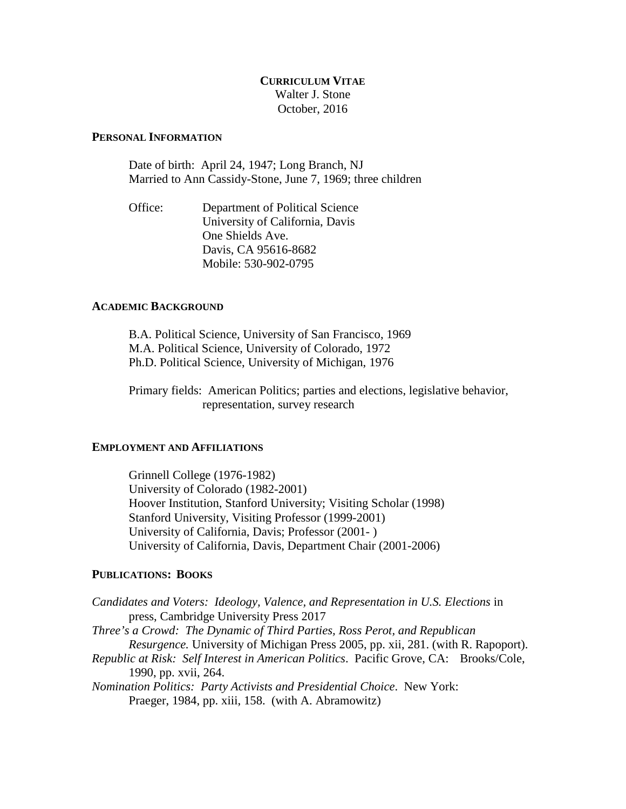# **CURRICULUM VITAE** Walter J. Stone October, 2016

## **PERSONAL INFORMATION**

Date of birth: April 24, 1947; Long Branch, NJ Married to Ann Cassidy-Stone, June 7, 1969; three children

Office: Department of Political Science University of California, Davis One Shields Ave. Davis, CA 95616-8682 Mobile: 530-902-0795

### **ACADEMIC BACKGROUND**

B.A. Political Science, University of San Francisco, 1969 M.A. Political Science, University of Colorado, 1972 Ph.D. Political Science, University of Michigan, 1976

Primary fields: American Politics; parties and elections, legislative behavior, representation, survey research

#### **EMPLOYMENT AND AFFILIATIONS**

Grinnell College (1976-1982) University of Colorado (1982-2001) Hoover Institution, Stanford University; Visiting Scholar (1998) Stanford University, Visiting Professor (1999-2001) University of California, Davis; Professor (2001- ) University of California, Davis, Department Chair (2001-2006)

### **PUBLICATIONS: BOOKS**

*Candidates and Voters: Ideology, Valence, and Representation in U.S. Elections* in press, Cambridge University Press 2017 *Three's a Crowd: The Dynamic of Third Parties, Ross Perot, and Republican Resurgence.* University of Michigan Press 2005, pp. xii, 281. (with R. Rapoport). *Republic at Risk: Self Interest in American Politics*. Pacific Grove, CA: Brooks/Cole, 1990, pp. xvii, 264. *Nomination Politics: Party Activists and Presidential Choice*. New York: Praeger, 1984, pp. xiii, 158. (with A. Abramowitz)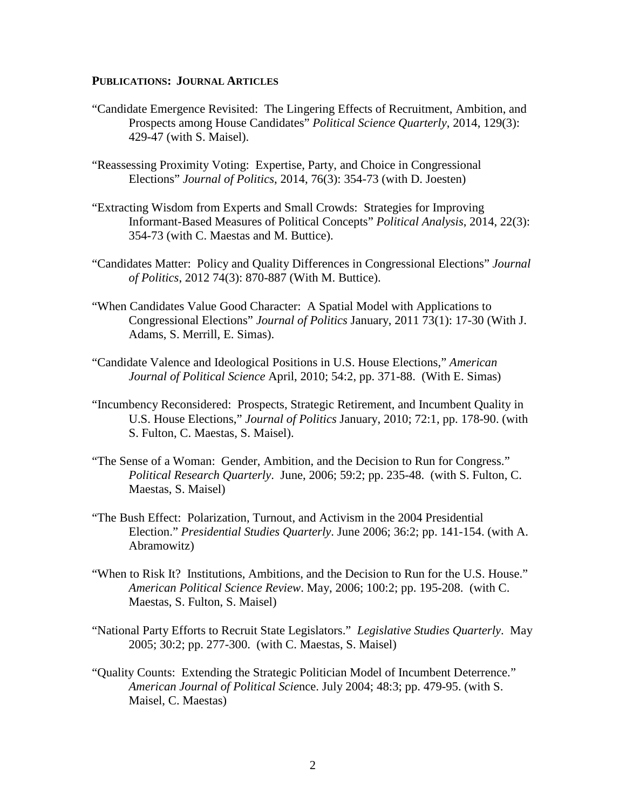## **PUBLICATIONS: JOURNAL ARTICLES**

- "Candidate Emergence Revisited: The Lingering Effects of Recruitment, Ambition, and Prospects among House Candidates" *Political Science Quarterly*, 2014, 129(3): 429-47 (with S. Maisel).
- "Reassessing Proximity Voting: Expertise, Party, and Choice in Congressional Elections" *Journal of Politics*, 2014, 76(3): 354-73 (with D. Joesten)
- "Extracting Wisdom from Experts and Small Crowds: Strategies for Improving Informant-Based Measures of Political Concepts" *Political Analysis*, 2014, 22(3): 354-73 (with C. Maestas and M. Buttice).
- "Candidates Matter: Policy and Quality Differences in Congressional Elections" *Journal of Politics*, 2012 74(3): 870-887 (With M. Buttice).
- "When Candidates Value Good Character: A Spatial Model with Applications to Congressional Elections" *Journal of Politics* January, 2011 73(1): 17-30 (With J. Adams, S. Merrill, E. Simas).
- "Candidate Valence and Ideological Positions in U.S. House Elections," *American Journal of Political Science* April, 2010; 54:2, pp. 371-88. (With E. Simas)
- "Incumbency Reconsidered: Prospects, Strategic Retirement, and Incumbent Quality in U.S. House Elections," *Journal of Politics* January, 2010; 72:1, pp. 178-90. (with S. Fulton, C. Maestas, S. Maisel).
- "The Sense of a Woman: Gender, Ambition, and the Decision to Run for Congress." *Political Research Quarterly*. June, 2006; 59:2; pp. 235-48. (with S. Fulton, C. Maestas, S. Maisel)
- "The Bush Effect: Polarization, Turnout, and Activism in the 2004 Presidential Election." *Presidential Studies Quarterly*. June 2006; 36:2; pp. 141-154. (with A. Abramowitz)
- "When to Risk It? Institutions, Ambitions, and the Decision to Run for the U.S. House." *American Political Science Review*. May, 2006; 100:2; pp. 195-208. (with C. Maestas, S. Fulton, S. Maisel)
- "National Party Efforts to Recruit State Legislators." *Legislative Studies Quarterly*. May 2005; 30:2; pp. 277-300. (with C. Maestas, S. Maisel)
- "Quality Counts: Extending the Strategic Politician Model of Incumbent Deterrence." *American Journal of Political Scie*nce. July 2004; 48:3; pp. 479-95. (with S. Maisel, C. Maestas)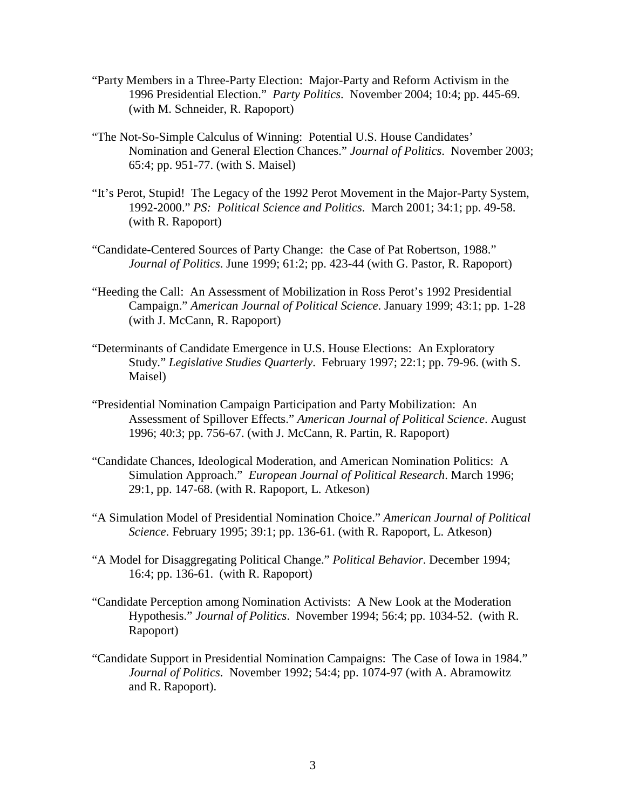- "Party Members in a Three-Party Election: Major-Party and Reform Activism in the 1996 Presidential Election." *Party Politics*. November 2004; 10:4; pp. 445-69. (with M. Schneider, R. Rapoport)
- "The Not-So-Simple Calculus of Winning: Potential U.S. House Candidates' Nomination and General Election Chances." *Journal of Politics*. November 2003; 65:4; pp. 951-77. (with S. Maisel)
- "It's Perot, Stupid! The Legacy of the 1992 Perot Movement in the Major-Party System, 1992-2000." *PS: Political Science and Politics*. March 2001; 34:1; pp. 49-58. (with R. Rapoport)
- "Candidate-Centered Sources of Party Change: the Case of Pat Robertson, 1988." *Journal of Politics*. June 1999; 61:2; pp. 423-44 (with G. Pastor, R. Rapoport)
- "Heeding the Call: An Assessment of Mobilization in Ross Perot's 1992 Presidential Campaign." *American Journal of Political Science*. January 1999; 43:1; pp. 1-28 (with J. McCann, R. Rapoport)
- "Determinants of Candidate Emergence in U.S. House Elections: An Exploratory Study." *Legislative Studies Quarterly*. February 1997; 22:1; pp. 79-96. (with S. Maisel)
- "Presidential Nomination Campaign Participation and Party Mobilization: An Assessment of Spillover Effects." *American Journal of Political Science*. August 1996; 40:3; pp. 756-67. (with J. McCann, R. Partin, R. Rapoport)
- "Candidate Chances, Ideological Moderation, and American Nomination Politics: A Simulation Approach." *European Journal of Political Research*. March 1996; 29:1, pp. 147-68. (with R. Rapoport, L. Atkeson)
- "A Simulation Model of Presidential Nomination Choice." *American Journal of Political Science*. February 1995; 39:1; pp. 136-61. (with R. Rapoport, L. Atkeson)
- "A Model for Disaggregating Political Change." *Political Behavior*. December 1994; 16:4; pp. 136-61. (with R. Rapoport)
- "Candidate Perception among Nomination Activists: A New Look at the Moderation Hypothesis." *Journal of Politics*. November 1994; 56:4; pp. 1034-52. (with R. Rapoport)
- "Candidate Support in Presidential Nomination Campaigns: The Case of Iowa in 1984." *Journal of Politics*. November 1992; 54:4; pp. 1074-97 (with A. Abramowitz and R. Rapoport).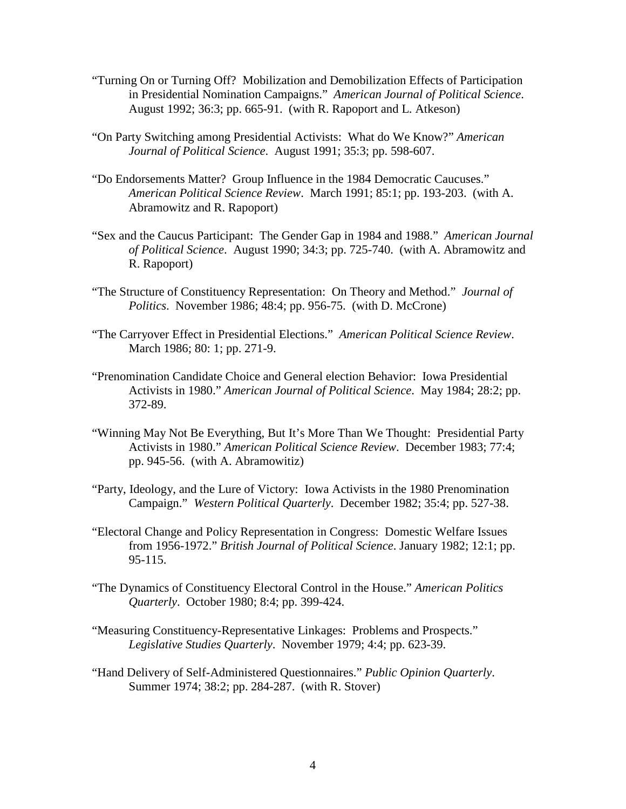- "Turning On or Turning Off? Mobilization and Demobilization Effects of Participation in Presidential Nomination Campaigns." *American Journal of Political Science*. August 1992; 36:3; pp. 665-91. (with R. Rapoport and L. Atkeson)
- "On Party Switching among Presidential Activists: What do We Know?" *American Journal of Political Science*. August 1991; 35:3; pp. 598-607.
- "Do Endorsements Matter? Group Influence in the 1984 Democratic Caucuses." *American Political Science Review*. March 1991; 85:1; pp. 193-203. (with A. Abramowitz and R. Rapoport)
- "Sex and the Caucus Participant: The Gender Gap in 1984 and 1988." *American Journal of Political Science*. August 1990; 34:3; pp. 725-740. (with A. Abramowitz and R. Rapoport)
- "The Structure of Constituency Representation: On Theory and Method." *Journal of Politics*. November 1986; 48:4; pp. 956-75. (with D. McCrone)
- "The Carryover Effect in Presidential Elections." *American Political Science Review*. March 1986; 80: 1; pp. 271-9.
- "Prenomination Candidate Choice and General election Behavior: Iowa Presidential Activists in 1980." *American Journal of Political Science*. May 1984; 28:2; pp. 372-89.
- "Winning May Not Be Everything, But It's More Than We Thought: Presidential Party Activists in 1980." *American Political Science Review*. December 1983; 77:4; pp. 945-56. (with A. Abramowitiz)
- "Party, Ideology, and the Lure of Victory: Iowa Activists in the 1980 Prenomination Campaign." *Western Political Quarterly*. December 1982; 35:4; pp. 527-38.
- "Electoral Change and Policy Representation in Congress: Domestic Welfare Issues from 1956-1972." *British Journal of Political Science*. January 1982; 12:1; pp. 95-115.
- "The Dynamics of Constituency Electoral Control in the House." *American Politics Quarterly*. October 1980; 8:4; pp. 399-424.
- "Measuring Constituency-Representative Linkages: Problems and Prospects." *Legislative Studies Quarterly*. November 1979; 4:4; pp. 623-39.
- "Hand Delivery of Self-Administered Questionnaires." *Public Opinion Quarterly*. Summer 1974; 38:2; pp. 284-287. (with R. Stover)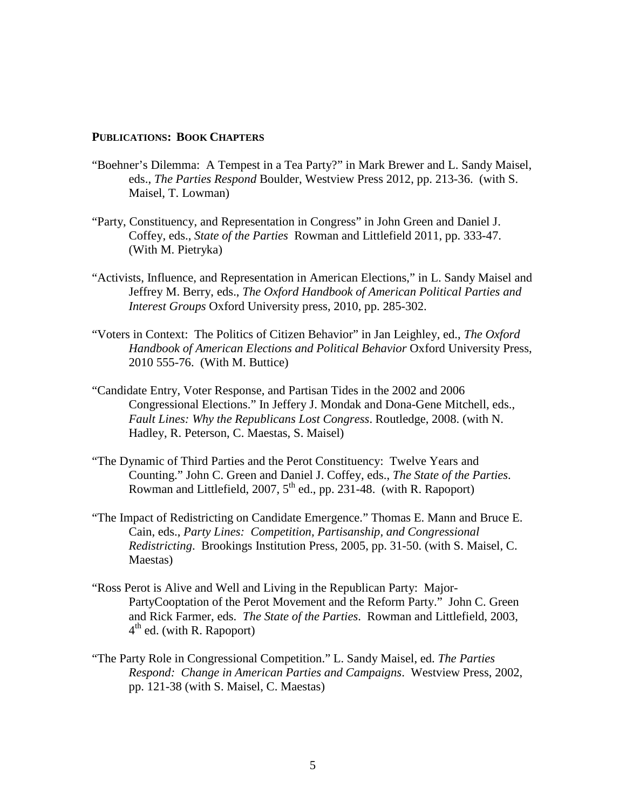### **PUBLICATIONS: BOOK CHAPTERS**

- "Boehner's Dilemma: A Tempest in a Tea Party?" in Mark Brewer and L. Sandy Maisel, eds., *The Parties Respond* Boulder, Westview Press 2012, pp. 213-36. (with S. Maisel, T. Lowman)
- "Party, Constituency, and Representation in Congress" in John Green and Daniel J. Coffey, eds., *State of the Parties* Rowman and Littlefield 2011, pp. 333-47. (With M. Pietryka)
- "Activists, Influence, and Representation in American Elections," in L. Sandy Maisel and Jeffrey M. Berry, eds., *The Oxford Handbook of American Political Parties and Interest Groups* Oxford University press, 2010, pp. 285-302.
- "Voters in Context: The Politics of Citizen Behavior" in Jan Leighley, ed., *The Oxford Handbook of American Elections and Political Behavior* Oxford University Press, 2010 555-76. (With M. Buttice)
- "Candidate Entry, Voter Response, and Partisan Tides in the 2002 and 2006 Congressional Elections." In Jeffery J. Mondak and Dona-Gene Mitchell, eds., *Fault Lines: Why the Republicans Lost Congress*. Routledge, 2008. (with N. Hadley, R. Peterson, C. Maestas, S. Maisel)
- "The Dynamic of Third Parties and the Perot Constituency: Twelve Years and Counting." John C. Green and Daniel J. Coffey, eds., *The State of the Parties*. Rowman and Littlefield, 2007, 5<sup>th</sup> ed., pp. 231-48. (with R. Rapoport)
- "The Impact of Redistricting on Candidate Emergence." Thomas E. Mann and Bruce E. Cain, eds., *Party Lines: Competition, Partisanship, and Congressional Redistricting*. Brookings Institution Press, 2005, pp. 31-50. (with S. Maisel, C. Maestas)
- "Ross Perot is Alive and Well and Living in the Republican Party: Major-PartyCooptation of the Perot Movement and the Reform Party." John C. Green and Rick Farmer, eds. *The State of the Parties*. Rowman and Littlefield, 2003,  $4<sup>th</sup>$  ed. (with R. Rapoport)
- "The Party Role in Congressional Competition." L. Sandy Maisel, ed. *The Parties Respond: Change in American Parties and Campaigns*. Westview Press, 2002, pp. 121-38 (with S. Maisel, C. Maestas)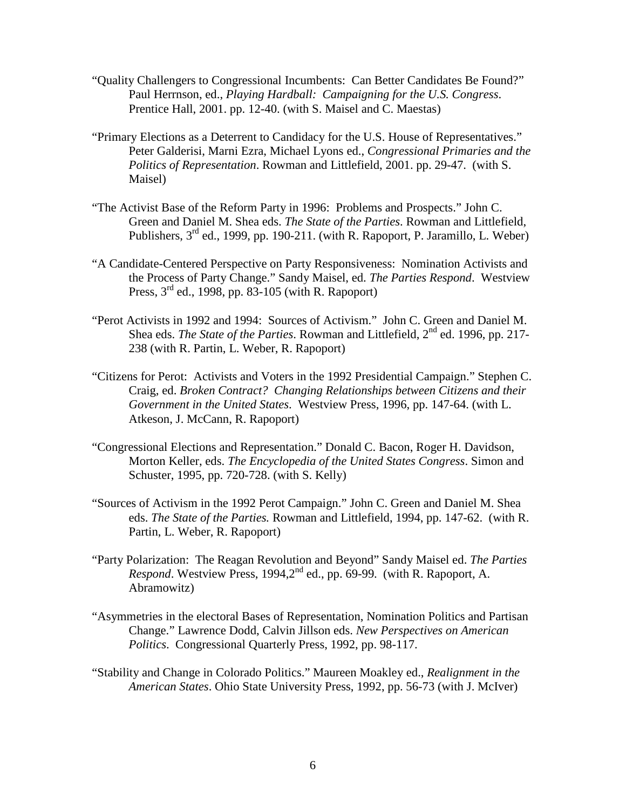- "Quality Challengers to Congressional Incumbents: Can Better Candidates Be Found?" Paul Herrnson, ed., *Playing Hardball: Campaigning for the U.S. Congress*. Prentice Hall, 2001. pp. 12-40. (with S. Maisel and C. Maestas)
- "Primary Elections as a Deterrent to Candidacy for the U.S. House of Representatives." Peter Galderisi, Marni Ezra, Michael Lyons ed., *Congressional Primaries and the Politics of Representation*. Rowman and Littlefield, 2001. pp. 29-47. (with S. Maisel)
- "The Activist Base of the Reform Party in 1996: Problems and Prospects." John C. Green and Daniel M. Shea eds. *The State of the Parties*. Rowman and Littlefield, Publishers,  $3<sup>rd</sup>$  ed., 1999, pp. 190-211. (with R. Rapoport, P. Jaramillo, L. Weber)
- "A Candidate-Centered Perspective on Party Responsiveness: Nomination Activists and the Process of Party Change." Sandy Maisel, ed. *The Parties Respond*. Westview Press, 3rd ed., 1998, pp. 83-105 (with R. Rapoport)
- "Perot Activists in 1992 and 1994: Sources of Activism." John C. Green and Daniel M. Shea eds. *The State of the Parties*. Rowman and Littlefield,  $2^{nd}$  ed. 1996, pp. 217-238 (with R. Partin, L. Weber, R. Rapoport)
- "Citizens for Perot: Activists and Voters in the 1992 Presidential Campaign." Stephen C. Craig, ed. *Broken Contract? Changing Relationships between Citizens and their Government in the United States*. Westview Press, 1996, pp. 147-64. (with L. Atkeson, J. McCann, R. Rapoport)
- "Congressional Elections and Representation." Donald C. Bacon, Roger H. Davidson, Morton Keller, eds. *The Encyclopedia of the United States Congress*. Simon and Schuster, 1995, pp. 720-728. (with S. Kelly)
- "Sources of Activism in the 1992 Perot Campaign." John C. Green and Daniel M. Shea eds. *The State of the Parties.* Rowman and Littlefield, 1994, pp. 147-62. (with R. Partin, L. Weber, R. Rapoport)
- "Party Polarization: The Reagan Revolution and Beyond" Sandy Maisel ed. *The Parties Respond*. Westview Press, 1994,2<sup>nd</sup> ed., pp. 69-99. (with R. Rapoport, A. Abramowitz)
- "Asymmetries in the electoral Bases of Representation, Nomination Politics and Partisan Change." Lawrence Dodd, Calvin Jillson eds. *New Perspectives on American Politics*. Congressional Quarterly Press, 1992, pp. 98-117.
- "Stability and Change in Colorado Politics." Maureen Moakley ed., *Realignment in the American States*. Ohio State University Press, 1992, pp. 56-73 (with J. McIver)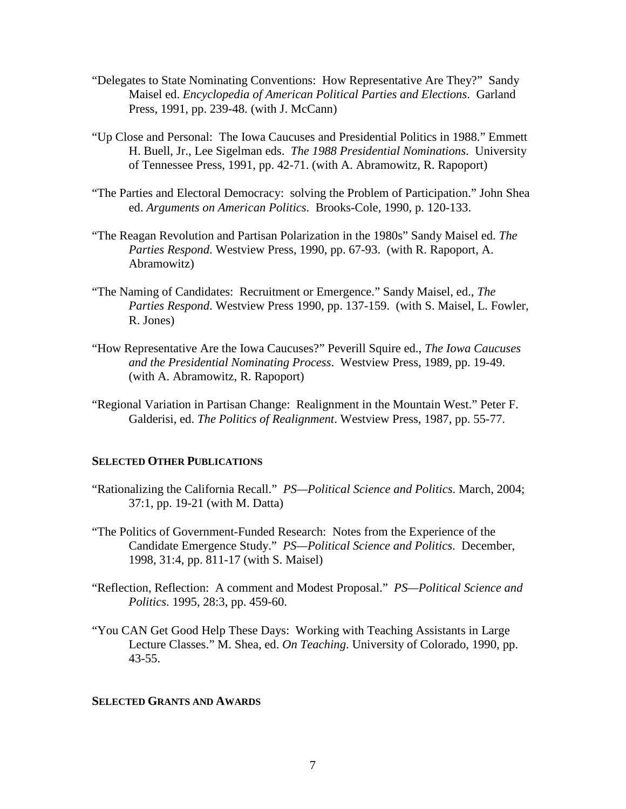- "Delegates to State Nominating Conventions: How Representative Are They?" Sandy Maisel ed. *Encyclopedia of American Political Parties and Elections*. Garland Press, 1991, pp. 239-48. (with J. McCann)
- "Up Close and Personal: The Iowa Caucuses and Presidential Politics in 1988." Emmett H. Buell, Jr., Lee Sigelman eds. *The 1988 Presidential Nominations*. University of Tennessee Press, 1991, pp. 42-71. (with A. Abramowitz, R. Rapoport)
- "The Parties and Electoral Democracy: solving the Problem of Participation." John Shea ed. *Arguments on American Politics*. Brooks-Cole, 1990, p. 120-133.
- "The Reagan Revolution and Partisan Polarization in the 1980s" Sandy Maisel ed. *The Parties Respond*. Westview Press, 1990, pp. 67-93. (with R. Rapoport, A. Abramowitz)
- "The Naming of Candidates: Recruitment or Emergence." Sandy Maisel, ed., *The Parties Respond*. Westview Press 1990, pp. 137-159. (with S. Maisel, L. Fowler, R. Jones)
- "How Representative Are the Iowa Caucuses?" Peverill Squire ed., *The Iowa Caucuses and the Presidential Nominating Process*. Westview Press, 1989, pp. 19-49. (with A. Abramowitz, R. Rapoport)
- "Regional Variation in Partisan Change: Realignment in the Mountain West." Peter F. Galderisi, ed. *The Politics of Realignment*. Westview Press, 1987, pp. 55-77.

### **SELECTED OTHER PUBLICATIONS**

- "Rationalizing the California Recall." *PS—Political Science and Politics*. March, 2004; 37:1, pp. 19-21 (with M. Datta)
- "The Politics of Government-Funded Research: Notes from the Experience of the Candidate Emergence Study." *PS—Political Science and Politics*. December, 1998, 31:4, pp. 811-17 (with S. Maisel)
- "Reflection, Reflection: A comment and Modest Proposal." *PS—Political Science and Politics*. 1995, 28:3, pp. 459-60.
- "You CAN Get Good Help These Days: Working with Teaching Assistants in Large Lecture Classes." M. Shea, ed. *On Teaching*. University of Colorado, 1990, pp. 43-55.

#### **SELECTED GRANTS AND AWARDS**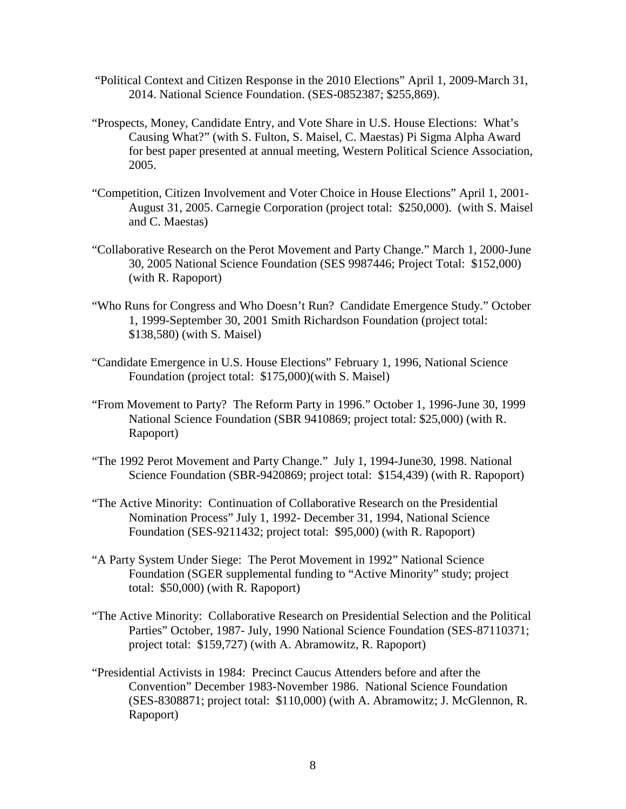- "Political Context and Citizen Response in the 2010 Elections" April 1, 2009-March 31, 2014. National Science Foundation. (SES-0852387; \$255,869).
- "Prospects, Money, Candidate Entry, and Vote Share in U.S. House Elections: What's Causing What?" (with S. Fulton, S. Maisel, C. Maestas) Pi Sigma Alpha Award for best paper presented at annual meeting, Western Political Science Association, 2005.
- "Competition, Citizen Involvement and Voter Choice in House Elections" April 1, 2001- August 31, 2005. Carnegie Corporation (project total: \$250,000). (with S. Maisel and C. Maestas)
- "Collaborative Research on the Perot Movement and Party Change." March 1, 2000-June 30, 2005 National Science Foundation (SES 9987446; Project Total: \$152,000) (with R. Rapoport)
- "Who Runs for Congress and Who Doesn't Run? Candidate Emergence Study." October 1, 1999-September 30, 2001 Smith Richardson Foundation (project total: \$138,580) (with S. Maisel)
- "Candidate Emergence in U.S. House Elections" February 1, 1996, National Science Foundation (project total: \$175,000)(with S. Maisel)
- "From Movement to Party? The Reform Party in 1996." October 1, 1996-June 30, 1999 National Science Foundation (SBR 9410869; project total: \$25,000) (with R. Rapoport)
- "The 1992 Perot Movement and Party Change." July 1, 1994-June30, 1998. National Science Foundation (SBR-9420869; project total: \$154,439) (with R. Rapoport)
- "The Active Minority: Continuation of Collaborative Research on the Presidential Nomination Process" July 1, 1992- December 31, 1994, National Science Foundation (SES-9211432; project total: \$95,000) (with R. Rapoport)
- "A Party System Under Siege: The Perot Movement in 1992" National Science Foundation (SGER supplemental funding to "Active Minority" study; project total: \$50,000) (with R. Rapoport)
- "The Active Minority: Collaborative Research on Presidential Selection and the Political Parties" October, 1987- July, 1990 National Science Foundation (SES-87110371; project total: \$159,727) (with A. Abramowitz, R. Rapoport)
- "Presidential Activists in 1984: Precinct Caucus Attenders before and after the Convention" December 1983-November 1986. National Science Foundation (SES-8308871; project total: \$110,000) (with A. Abramowitz; J. McGlennon, R. Rapoport)